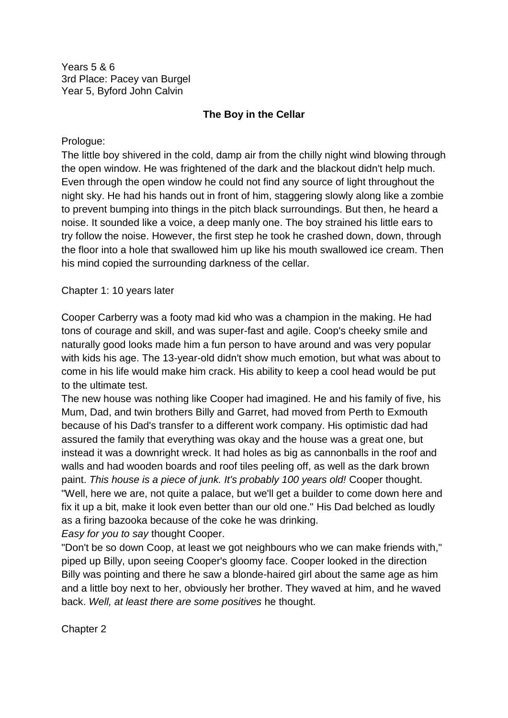Years 5 & 6 3rd Place: Pacey van Burgel Year 5, Byford John Calvin

## **The Boy in the Cellar**

Prologue:

The little boy shivered in the cold, damp air from the chilly night wind blowing through the open window. He was frightened of the dark and the blackout didn't help much. Even through the open window he could not find any source of light throughout the night sky. He had his hands out in front of him, staggering slowly along like a zombie to prevent bumping into things in the pitch black surroundings. But then, he heard a noise. It sounded like a voice, a deep manly one. The boy strained his little ears to try follow the noise. However, the first step he took he crashed down, down, through the floor into a hole that swallowed him up like his mouth swallowed ice cream. Then his mind copied the surrounding darkness of the cellar.

Chapter 1: 10 years later

Cooper Carberry was a footy mad kid who was a champion in the making. He had tons of courage and skill, and was super-fast and agile. Coop's cheeky smile and naturally good looks made him a fun person to have around and was very popular with kids his age. The 13-year-old didn't show much emotion, but what was about to come in his life would make him crack. His ability to keep a cool head would be put to the ultimate test.

The new house was nothing like Cooper had imagined. He and his family of five, his Mum, Dad, and twin brothers Billy and Garret, had moved from Perth to Exmouth because of his Dad's transfer to a different work company. His optimistic dad had assured the family that everything was okay and the house was a great one, but instead it was a downright wreck. It had holes as big as cannonballs in the roof and walls and had wooden boards and roof tiles peeling off, as well as the dark brown paint. *This house is a piece of junk. It's probably 100 years old!* Cooper thought. "Well, here we are, not quite a palace, but we'll get a builder to come down here and fix it up a bit, make it look even better than our old one." His Dad belched as loudly as a firing bazooka because of the coke he was drinking.

*Easy for you to say* thought Cooper.

"Don't be so down Coop, at least we got neighbours who we can make friends with," piped up Billy, upon seeing Cooper's gloomy face. Cooper looked in the direction Billy was pointing and there he saw a blonde-haired girl about the same age as him and a little boy next to her, obviously her brother. They waved at him, and he waved back. *Well, at least there are some positives* he thought.

Chapter 2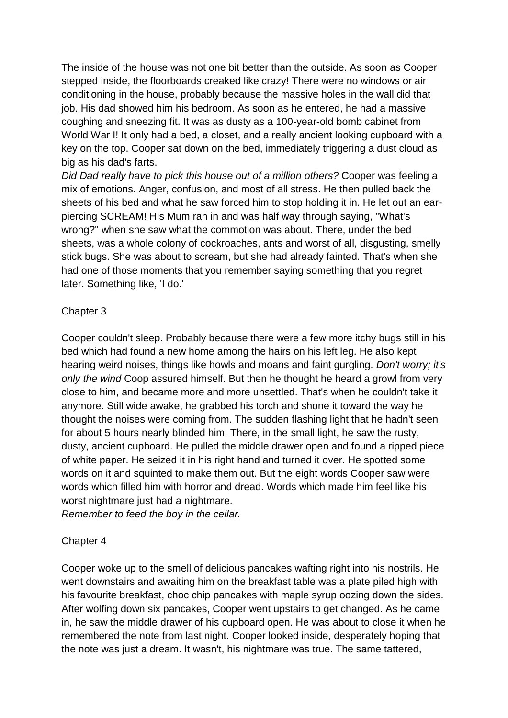The inside of the house was not one bit better than the outside. As soon as Cooper stepped inside, the floorboards creaked like crazy! There were no windows or air conditioning in the house, probably because the massive holes in the wall did that job. His dad showed him his bedroom. As soon as he entered, he had a massive coughing and sneezing fit. It was as dusty as a 100-year-old bomb cabinet from World War I! It only had a bed, a closet, and a really ancient looking cupboard with a key on the top. Cooper sat down on the bed, immediately triggering a dust cloud as big as his dad's farts.

*Did Dad really have to pick this house out of a million others?* Cooper was feeling a mix of emotions. Anger, confusion, and most of all stress. He then pulled back the sheets of his bed and what he saw forced him to stop holding it in. He let out an earpiercing SCREAM! His Mum ran in and was half way through saying, "What's wrong?" when she saw what the commotion was about. There, under the bed sheets, was a whole colony of cockroaches, ants and worst of all, disgusting, smelly stick bugs. She was about to scream, but she had already fainted. That's when she had one of those moments that you remember saying something that you regret later. Something like, 'I do.'

## Chapter 3

Cooper couldn't sleep. Probably because there were a few more itchy bugs still in his bed which had found a new home among the hairs on his left leg. He also kept hearing weird noises, things like howls and moans and faint gurgling. *Don't worry; it's only the wind* Coop assured himself. But then he thought he heard a growl from very close to him, and became more and more unsettled. That's when he couldn't take it anymore. Still wide awake, he grabbed his torch and shone it toward the way he thought the noises were coming from. The sudden flashing light that he hadn't seen for about 5 hours nearly blinded him. There, in the small light, he saw the rusty, dusty, ancient cupboard. He pulled the middle drawer open and found a ripped piece of white paper. He seized it in his right hand and turned it over. He spotted some words on it and squinted to make them out. But the eight words Cooper saw were words which filled him with horror and dread. Words which made him feel like his worst nightmare just had a nightmare.

*Remember to feed the boy in the cellar.* 

## Chapter 4

Cooper woke up to the smell of delicious pancakes wafting right into his nostrils. He went downstairs and awaiting him on the breakfast table was a plate piled high with his favourite breakfast, choc chip pancakes with maple syrup oozing down the sides. After wolfing down six pancakes, Cooper went upstairs to get changed. As he came in, he saw the middle drawer of his cupboard open. He was about to close it when he remembered the note from last night. Cooper looked inside, desperately hoping that the note was just a dream. It wasn't, his nightmare was true. The same tattered,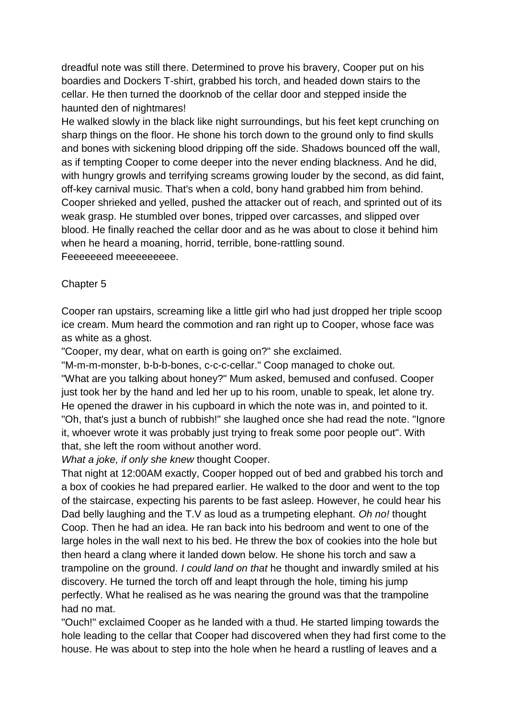dreadful note was still there. Determined to prove his bravery, Cooper put on his boardies and Dockers T-shirt, grabbed his torch, and headed down stairs to the cellar. He then turned the doorknob of the cellar door and stepped inside the haunted den of nightmares!

He walked slowly in the black like night surroundings, but his feet kept crunching on sharp things on the floor. He shone his torch down to the ground only to find skulls and bones with sickening blood dripping off the side. Shadows bounced off the wall, as if tempting Cooper to come deeper into the never ending blackness. And he did, with hungry growls and terrifying screams growing louder by the second, as did faint, off-key carnival music. That's when a cold, bony hand grabbed him from behind. Cooper shrieked and yelled, pushed the attacker out of reach, and sprinted out of its weak grasp. He stumbled over bones, tripped over carcasses, and slipped over blood. He finally reached the cellar door and as he was about to close it behind him when he heard a moaning, horrid, terrible, bone-rattling sound. Feeeeeeed meeeeeeeee.

## Chapter 5

Cooper ran upstairs, screaming like a little girl who had just dropped her triple scoop ice cream. Mum heard the commotion and ran right up to Cooper, whose face was as white as a ghost.

"Cooper, my dear, what on earth is going on?" she exclaimed.

"M-m-m-monster, b-b-b-bones, c-c-c-cellar." Coop managed to choke out. "What are you talking about honey?" Mum asked, bemused and confused. Cooper just took her by the hand and led her up to his room, unable to speak, let alone try. He opened the drawer in his cupboard in which the note was in, and pointed to it. "Oh, that's just a bunch of rubbish!" she laughed once she had read the note. "Ignore it, whoever wrote it was probably just trying to freak some poor people out". With that, she left the room without another word.

*What a joke, if only she knew* thought Cooper.

That night at 12:00AM exactly, Cooper hopped out of bed and grabbed his torch and a box of cookies he had prepared earlier. He walked to the door and went to the top of the staircase, expecting his parents to be fast asleep. However, he could hear his Dad belly laughing and the T.V as loud as a trumpeting elephant. *Oh no!* thought Coop. Then he had an idea. He ran back into his bedroom and went to one of the large holes in the wall next to his bed. He threw the box of cookies into the hole but then heard a clang where it landed down below. He shone his torch and saw a trampoline on the ground. *I could land on that* he thought and inwardly smiled at his discovery. He turned the torch off and leapt through the hole, timing his jump perfectly. What he realised as he was nearing the ground was that the trampoline had no mat.

"Ouch!" exclaimed Cooper as he landed with a thud. He started limping towards the hole leading to the cellar that Cooper had discovered when they had first come to the house. He was about to step into the hole when he heard a rustling of leaves and a